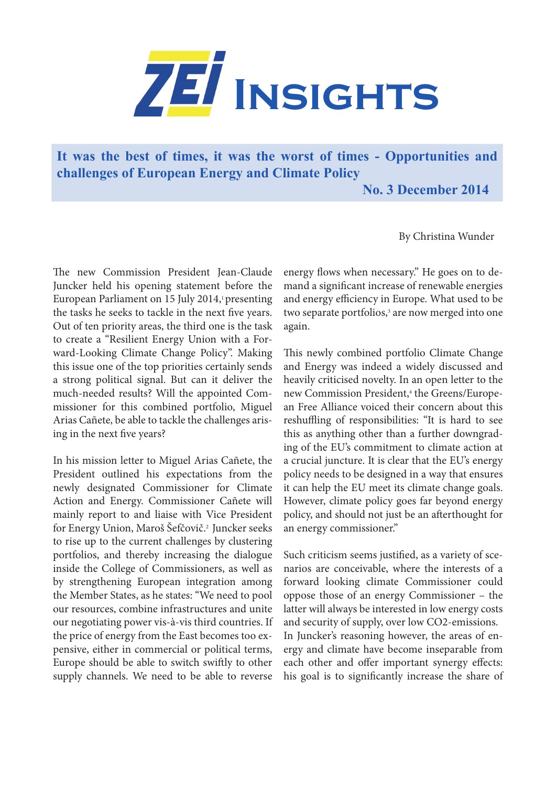

**It was the best of times, it was the worst of times - Opportunities and challenges of European Energy and Climate Policy**

 **No. 3 December 2014**

By Christina Wunder

The new Commission President Jean-Claude Juncker held his opening statement before the European Parliament on 15 July 2014,<sup>1</sup> presenting the tasks he seeks to tackle in the next five years. Out of ten priority areas, the third one is the task to create a "Resilient Energy Union with a Forward-Looking Climate Change Policy". Making this issue one of the top priorities certainly sends a strong political signal. But can it deliver the much-needed results? Will the appointed Commissioner for this combined portfolio, Miguel Arias Cañete, be able to tackle the challenges arising in the next five years?

In his mission letter to Miguel Arias Cañete, the President outlined his expectations from the newly designated Commissioner for Climate Action and Energy. Commissioner Cañete will mainly report to and liaise with Vice President for Energy Union, Maroš Šefčovič.2 Juncker seeks to rise up to the current challenges by clustering portfolios, and thereby increasing the dialogue inside the College of Commissioners, as well as by strengthening European integration among the Member States, as he states: "We need to pool our resources, combine infrastructures and unite our negotiating power vis-à-vis third countries. If the price of energy from the East becomes too expensive, either in commercial or political terms, Europe should be able to switch swiftly to other supply channels. We need to be able to reverse

energy flows when necessary." He goes on to demand a significant increase of renewable energies and energy efficiency in Europe. What used to be two separate portfolios,<sup>3</sup> are now merged into one again.

This newly combined portfolio Climate Change and Energy was indeed a widely discussed and heavily criticised novelty. In an open letter to the new Commission President,<sup>4</sup> the Greens/European Free Alliance voiced their concern about this reshuffling of responsibilities: "It is hard to see this as anything other than a further downgrading of the EU's commitment to climate action at a crucial juncture. It is clear that the EU's energy policy needs to be designed in a way that ensures it can help the EU meet its climate change goals. However, climate policy goes far beyond energy policy, and should not just be an afterthought for an energy commissioner."

Such criticism seems justified, as a variety of scenarios are conceivable, where the interests of a forward looking climate Commissioner could oppose those of an energy Commissioner – the latter will always be interested in low energy costs and security of supply, over low CO2-emissions. In Juncker's reasoning however, the areas of energy and climate have become inseparable from each other and offer important synergy effects: his goal is to significantly increase the share of